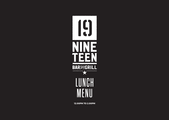

**12.00PM TO 2.00PM**